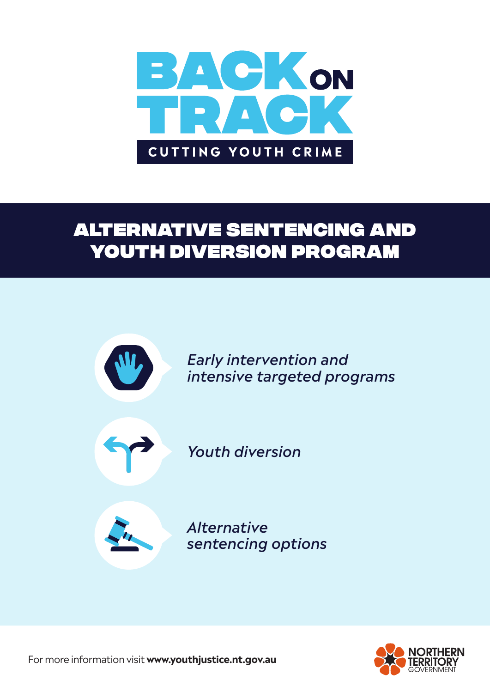

# alternative sentencing and youth diversion program





For more information visit **www.youthjustice.nt.gov.au**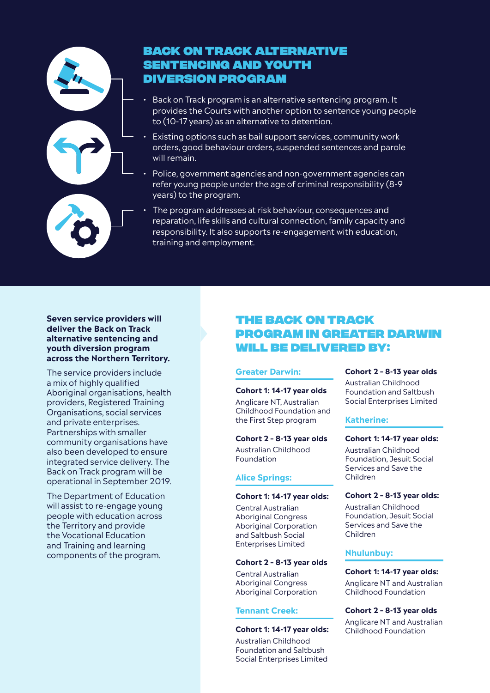

# Back on Track alternative sentencing and youth diversion program

- Back on Track program is an alternative sentencing program. It provides the Courts with another option to sentence young people to (10-17 years) as an alternative to detention.
- Existing options such as bail support services, community work orders, good behaviour orders, suspended sentences and parole will remain.
- Police, government agencies and non-government agencies can refer young people under the age of criminal responsibility (8-9 years) to the program.
- The program addresses at risk behaviour, consequences and reparation, life skills and cultural connection, family capacity and responsibility. It also supports re-engagement with education, training and employment.

## **Seven service providers will deliver the Back on Track alternative sentencing and youth diversion program across the Northern Territory.**

The service providers include a mix of highly qualified Aboriginal organisations, health providers, Registered Training Organisations, social services and private enterprises. Partnerships with smaller community organisations have also been developed to ensure integrated service delivery. The Back on Track program will be operational in September 2019.

The Department of Education will assist to re-engage young people with education across the Territory and provide the Vocational Education and Training and learning components of the program.

# The Back on Track Program in Greater Darwin will be delivered by:

# **Greater Darwin:**

#### **Cohort 1: 14-17 year olds**

Anglicare NT, Australian Childhood Foundation and the First Step program

#### **Cohort 2 – 8-13 year olds**

Australian Childhood Foundation

# **Alice Springs:**

#### **Cohort 1: 14-17 year olds:**

Central Australian Aboriginal Congress Aboriginal Corporation and Saltbush Social Enterprises Limited

# **Cohort 2 – 8-13 year olds**

Central Australian Aboriginal Congress Aboriginal Corporation

# **Tennant Creek:**

#### **Cohort 1: 14-17 year olds:**

Australian Childhood Foundation and Saltbush Social Enterprises Limited

#### **Cohort 2 – 8-13 year olds**

Australian Childhood Foundation and Saltbush Social Enterprises Limited

#### **Katherine:**

#### **Cohort 1: 14-17 year olds:**

Australian Childhood Foundation, Jesuit Social Services and Save the Children

#### **Cohort 2 – 8-13 year olds:**

Australian Childhood Foundation, Jesuit Social Services and Save the Children

#### **Nhulunbuy:**

**Cohort 1: 14-17 year olds:** Anglicare NT and Australian Childhood Foundation

**Cohort 2 – 8-13 year olds** Anglicare NT and Australian Childhood Foundation